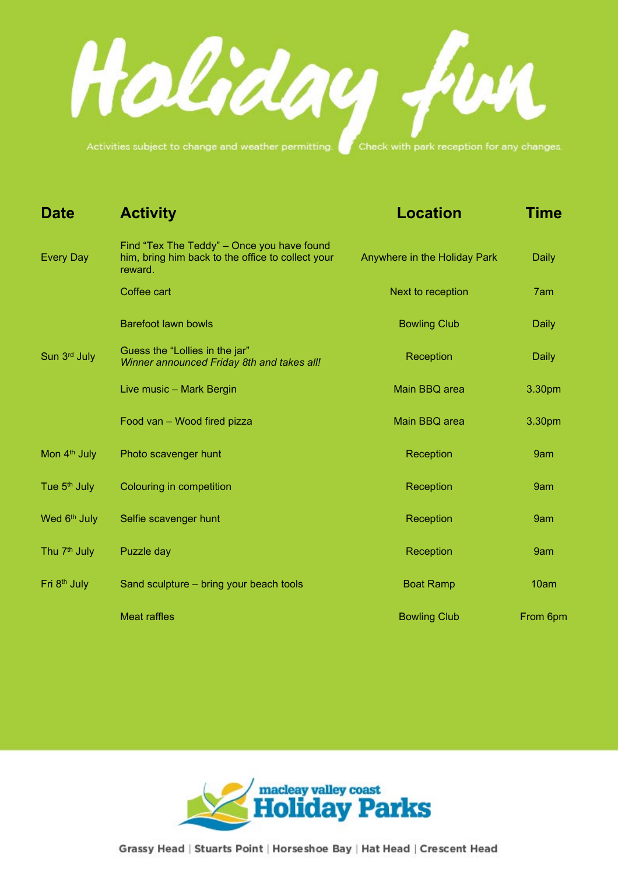Haliday fur

Activities subject to change and weather permitting.

| <b>Date</b>              | <b>Activity</b>                                                                                            | <b>Location</b>              | <b>Time</b>  |
|--------------------------|------------------------------------------------------------------------------------------------------------|------------------------------|--------------|
| <b>Every Day</b>         | Find "Tex The Teddy" - Once you have found<br>him, bring him back to the office to collect your<br>reward. | Anywhere in the Holiday Park | <b>Daily</b> |
|                          | Coffee cart                                                                                                | Next to reception            | 7am          |
|                          | <b>Barefoot lawn bowls</b>                                                                                 | <b>Bowling Club</b>          | <b>Daily</b> |
| Sun 3rd July             | Guess the "Lollies in the jar"<br>Winner announced Friday 8th and takes all!                               | Reception                    | <b>Daily</b> |
|                          | Live music - Mark Bergin                                                                                   | Main BBQ area                | 3.30pm       |
|                          | Food van - Wood fired pizza                                                                                | Main BBQ area                | 3.30pm       |
| Mon 4 <sup>th</sup> July | Photo scavenger hunt                                                                                       | Reception                    | 9am          |
| Tue 5 <sup>th</sup> July | Colouring in competition                                                                                   | Reception                    | 9am          |
| Wed 6 <sup>th</sup> July | Selfie scavenger hunt                                                                                      | Reception                    | 9am          |
| Thu 7 <sup>th</sup> July | Puzzle day                                                                                                 | Reception                    | 9am          |
| Fri 8 <sup>th</sup> July | Sand sculpture - bring your beach tools                                                                    | <b>Boat Ramp</b>             | 10am         |
|                          | <b>Meat raffles</b>                                                                                        | <b>Bowling Club</b>          | From 6pm     |